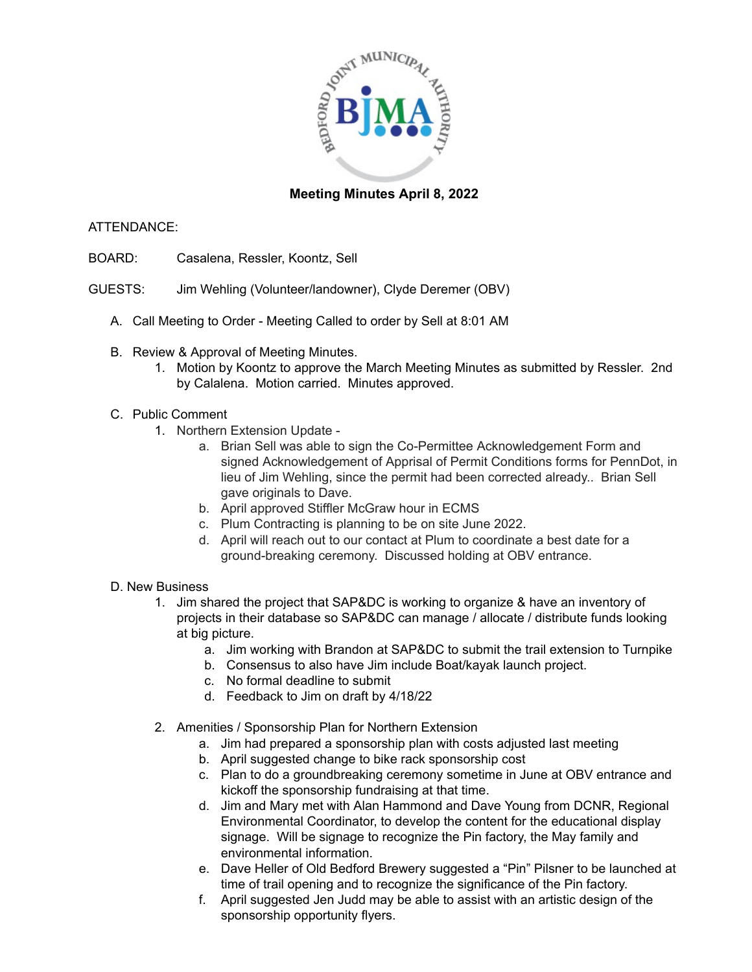

# **Meeting Minutes April 8, 2022**

# ATTENDANCE:

- BOARD: Casalena, Ressler, Koontz, Sell
- GUESTS: Jim Wehling (Volunteer/landowner), Clyde Deremer (OBV)
	- A. Call Meeting to Order Meeting Called to order by Sell at 8:01 AM
	- B. Review & Approval of Meeting Minutes.
		- 1. Motion by Koontz to approve the March Meeting Minutes as submitted by Ressler. 2nd by Calalena. Motion carried. Minutes approved.

# C. Public Comment

- 1. Northern Extension Update
	- a. Brian Sell was able to sign the Co-Permittee Acknowledgement Form and signed Acknowledgement of Apprisal of Permit Conditions forms for PennDot, in lieu of Jim Wehling, since the permit had been corrected already.. Brian Sell gave originals to Dave.
	- b. April approved Stiffler McGraw hour in ECMS
	- c. Plum Contracting is planning to be on site June 2022.
	- d. April will reach out to our contact at Plum to coordinate a best date for a ground-breaking ceremony. Discussed holding at OBV entrance.

#### D. New Business

- 1. Jim shared the project that SAP&DC is working to organize & have an inventory of projects in their database so SAP&DC can manage / allocate / distribute funds looking at big picture.
	- a. Jim working with Brandon at SAP&DC to submit the trail extension to Turnpike
	- b. Consensus to also have Jim include Boat/kayak launch project.
	- c. No formal deadline to submit
	- d. Feedback to Jim on draft by 4/18/22
- 2. Amenities / Sponsorship Plan for Northern Extension
	- a. Jim had prepared a sponsorship plan with costs adjusted last meeting
	- b. April suggested change to bike rack sponsorship cost
	- c. Plan to do a groundbreaking ceremony sometime in June at OBV entrance and kickoff the sponsorship fundraising at that time.
	- d. Jim and Mary met with Alan Hammond and Dave Young from DCNR, Regional Environmental Coordinator, to develop the content for the educational display signage. Will be signage to recognize the Pin factory, the May family and environmental information.
	- e. Dave Heller of Old Bedford Brewery suggested a "Pin" Pilsner to be launched at time of trail opening and to recognize the significance of the Pin factory.
	- f. April suggested Jen Judd may be able to assist with an artistic design of the sponsorship opportunity flyers.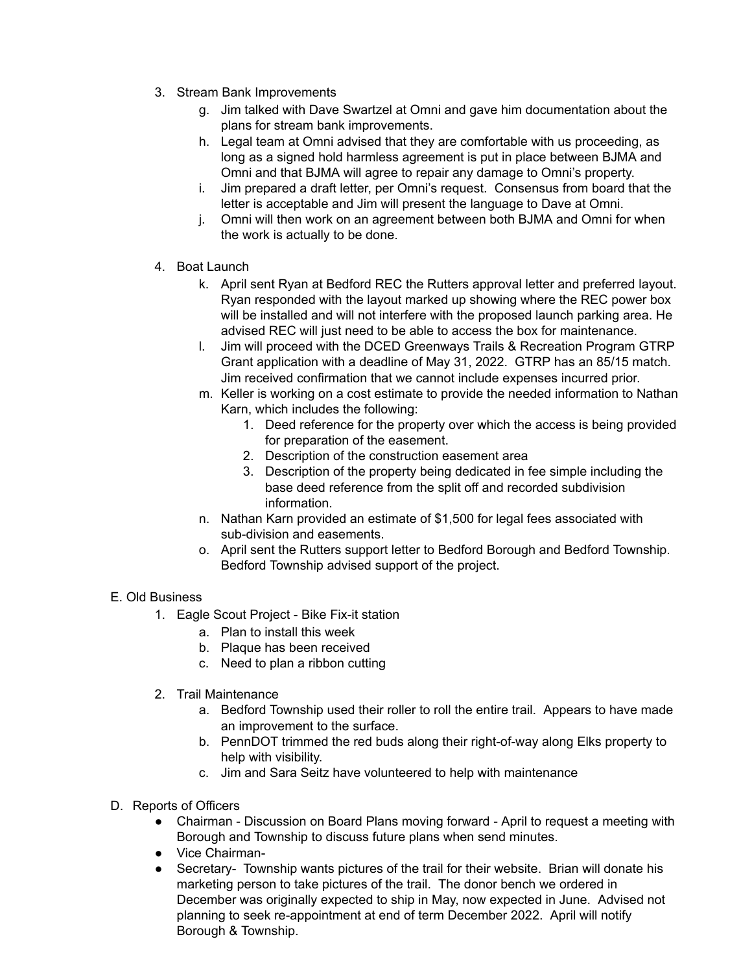- 3. Stream Bank Improvements
	- g. Jim talked with Dave Swartzel at Omni and gave him documentation about the plans for stream bank improvements.
	- h. Legal team at Omni advised that they are comfortable with us proceeding, as long as a signed hold harmless agreement is put in place between BJMA and Omni and that BJMA will agree to repair any damage to Omni's property.
	- i. Jim prepared a draft letter, per Omni's request. Consensus from board that the letter is acceptable and Jim will present the language to Dave at Omni.
	- j. Omni will then work on an agreement between both BJMA and Omni for when the work is actually to be done.
- 4. Boat Launch
	- k. April sent Ryan at Bedford REC the Rutters approval letter and preferred layout. Ryan responded with the layout marked up showing where the REC power box will be installed and will not interfere with the proposed launch parking area. He advised REC will just need to be able to access the box for maintenance.
	- l. Jim will proceed with the DCED Greenways Trails & Recreation Program GTRP Grant application with a deadline of May 31, 2022. GTRP has an 85/15 match. Jim received confirmation that we cannot include expenses incurred prior.
	- m. Keller is working on a cost estimate to provide the needed information to Nathan Karn, which includes the following:
		- 1. Deed reference for the property over which the access is being provided for preparation of the easement.
		- 2. Description of the construction easement area
		- 3. Description of the property being dedicated in fee simple including the base deed reference from the split off and recorded subdivision information.
	- n. Nathan Karn provided an estimate of \$1,500 for legal fees associated with sub-division and easements.
	- o. April sent the Rutters support letter to Bedford Borough and Bedford Township. Bedford Township advised support of the project.

# E. Old Business

- 1. Eagle Scout Project Bike Fix-it station
	- a. Plan to install this week
	- b. Plaque has been received
	- c. Need to plan a ribbon cutting
- 2. Trail Maintenance
	- a. Bedford Township used their roller to roll the entire trail. Appears to have made an improvement to the surface.
	- b. PennDOT trimmed the red buds along their right-of-way along Elks property to help with visibility.
	- c. Jim and Sara Seitz have volunteered to help with maintenance
- D. Reports of Officers
	- Chairman Discussion on Board Plans moving forward April to request a meeting with Borough and Township to discuss future plans when send minutes.
	- Vice Chairman-
	- Secretary- Township wants pictures of the trail for their website. Brian will donate his marketing person to take pictures of the trail. The donor bench we ordered in December was originally expected to ship in May, now expected in June. Advised not planning to seek re-appointment at end of term December 2022. April will notify Borough & Township.